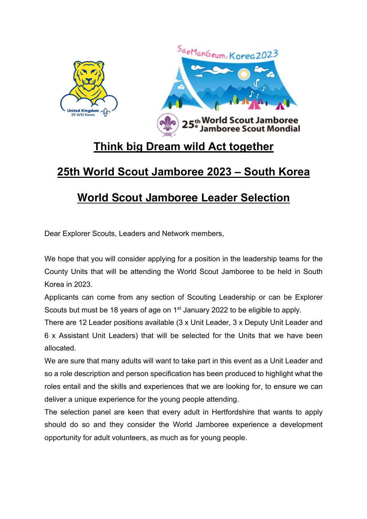

## **Think big Dream wild Act together**

## **25th World Scout Jamboree 2023 – South Korea**

## **World Scout Jamboree Leader Selection**

Dear Explorer Scouts, Leaders and Network members,

We hope that you will consider applying for a position in the leadership teams for the County Units that will be attending the World Scout Jamboree to be held in South Korea in 2023.

Applicants can come from any section of Scouting Leadership or can be Explorer Scouts but must be 18 years of age on 1<sup>st</sup> January 2022 to be eligible to apply.

There are 12 Leader positions available (3 x Unit Leader, 3 x Deputy Unit Leader and 6 x Assistant Unit Leaders) that will be selected for the Units that we have been allocated.

We are sure that many adults will want to take part in this event as a Unit Leader and so a role description and person specification has been produced to highlight what the roles entail and the skills and experiences that we are looking for, to ensure we can deliver a unique experience for the young people attending.

The selection panel are keen that every adult in Hertfordshire that wants to apply should do so and they consider the World Jamboree experience a development opportunity for adult volunteers, as much as for young people.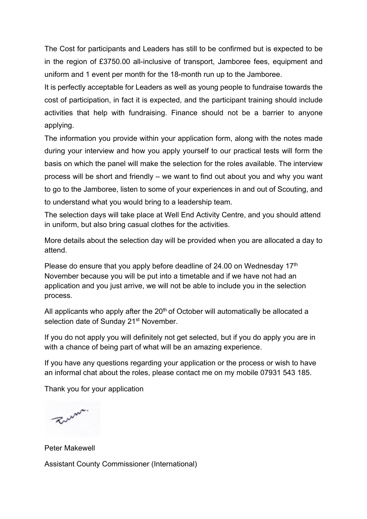The Cost for participants and Leaders has still to be confirmed but is expected to be in the region of £3750.00 all-inclusive of transport, Jamboree fees, equipment and uniform and 1 event per month for the 18-month run up to the Jamboree.

It is perfectly acceptable for Leaders as well as young people to fundraise towards the cost of participation, in fact it is expected, and the participant training should include activities that help with fundraising. Finance should not be a barrier to anyone applying.

The information you provide within your application form, along with the notes made during your interview and how you apply yourself to our practical tests will form the basis on which the panel will make the selection for the roles available. The interview process will be short and friendly – we want to find out about you and why you want to go to the Jamboree, listen to some of your experiences in and out of Scouting, and to understand what you would bring to a leadership team.

The selection days will take place at Well End Activity Centre, and you should attend in uniform, but also bring casual clothes for the activities.

More details about the selection day will be provided when you are allocated a day to attend.

Please do ensure that you apply before deadline of 24.00 on Wednesday 17<sup>th</sup> November because you will be put into a timetable and if we have not had an application and you just arrive, we will not be able to include you in the selection process.

All applicants who apply after the  $20<sup>th</sup>$  of October will automatically be allocated a selection date of Sunday 21<sup>st</sup> November.

If you do not apply you will definitely not get selected, but if you do apply you are in with a chance of being part of what will be an amazing experience.

If you have any questions regarding your application or the process or wish to have an informal chat about the roles, please contact me on my mobile 07931 543 185.

Thank you for your application

Zum.

Peter Makewell Assistant County Commissioner (International)